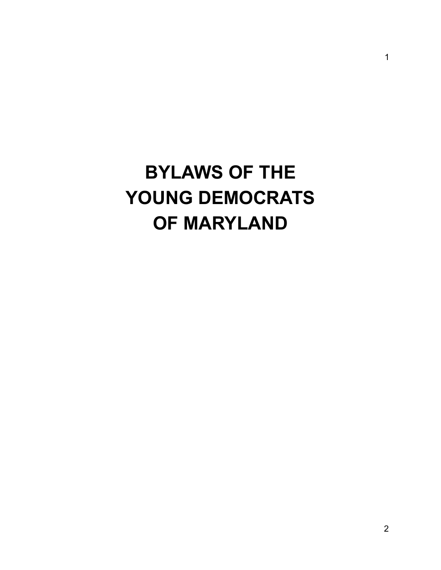# **BYLAWS OF THE YOUNG DEMOCRATS OF MARYLAND**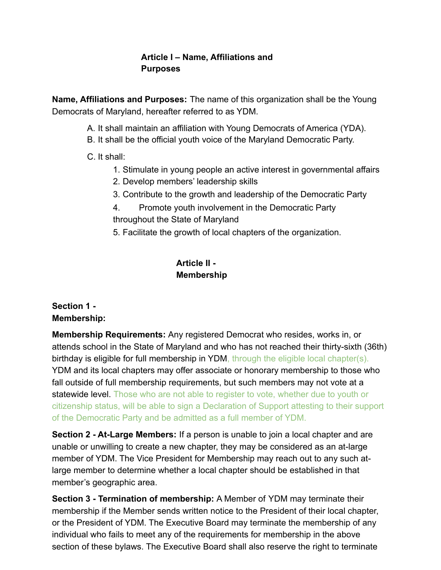#### **Article I – Name, Affiliations and Purposes**

**Name, Affiliations and Purposes:** The name of this organization shall be the Young Democrats of Maryland, hereafter referred to as YDM.

- A. It shall maintain an affiliation with Young Democrats of America (YDA).
- B. It shall be the official youth voice of the Maryland Democratic Party.

#### C. It shall:

- 1. Stimulate in young people an active interest in governmental affairs
- 2. Develop members' leadership skills
- 3. Contribute to the growth and leadership of the Democratic Party
- 4. Promote youth involvement in the Democratic Party throughout the State of Maryland
- 5. Facilitate the growth of local chapters of the organization.

#### **Article II - Membership**

#### **Section 1 - Membership:**

**Membership Requirements:** Any registered Democrat who resides, works in, or attends school in the State of Maryland and who has not reached their thirty-sixth (36th) birthday is eligible for full membership in YDM, through the eligible local chapter(s). YDM and its local chapters may offer associate or honorary membership to those who fall outside of full membership requirements, but such members may not vote at a statewide level. Those who are not able to register to vote, whether due to youth or citizenship status, will be able to sign a Declaration of Support attesting to their support of the Democratic Party and be admitted as a full member of YDM.

**Section 2 - At-Large Members:** If a person is unable to join a local chapter and are unable or unwilling to create a new chapter, they may be considered as an at-large member of YDM. The Vice President for Membership may reach out to any such atlarge member to determine whether a local chapter should be established in that member's geographic area.

**Section 3 - Termination of membership:** A Member of YDM may terminate their membership if the Member sends written notice to the President of their local chapter, or the President of YDM. The Executive Board may terminate the membership of any individual who fails to meet any of the requirements for membership in the above section of these bylaws. The Executive Board shall also reserve the right to terminate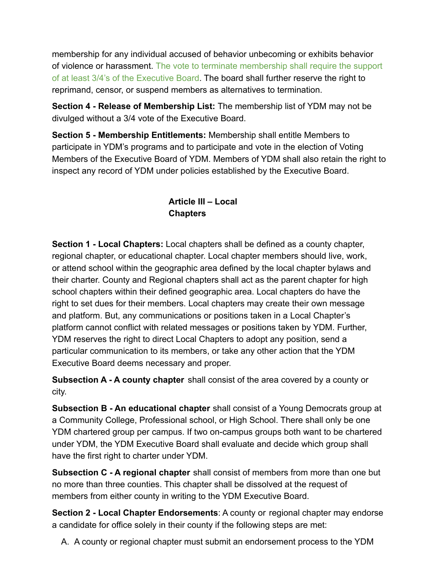membership for any individual accused of behavior unbecoming or exhibits behavior of violence or harassment. The vote to terminate membership shall require the support of at least 3/4's of the Executive Board. The board shall further reserve the right to reprimand, censor, or suspend members as alternatives to termination.

**Section 4 - Release of Membership List:** The membership list of YDM may not be divulged without a 3/4 vote of the Executive Board.

**Section 5 - Membership Entitlements:** Membership shall entitle Members to participate in YDM's programs and to participate and vote in the election of Voting Members of the Executive Board of YDM. Members of YDM shall also retain the right to inspect any record of YDM under policies established by the Executive Board.

# **Article III – Local Chapters**

**Section 1 - Local Chapters:** Local chapters shall be defined as a county chapter, regional chapter, or educational chapter. Local chapter members should live, work, or attend school within the geographic area defined by the local chapter bylaws and their charter. County and Regional chapters shall act as the parent chapter for high school chapters within their defined geographic area. Local chapters do have the right to set dues for their members. Local chapters may create their own message and platform. But, any communications or positions taken in a Local Chapter's platform cannot conflict with related messages or positions taken by YDM. Further, YDM reserves the right to direct Local Chapters to adopt any position, send a particular communication to its members, or take any other action that the YDM Executive Board deems necessary and proper.

**Subsection A - A county chapter** shall consist of the area covered by a county or city.

**Subsection B - An educational chapter** shall consist of a Young Democrats group at a Community College, Professional school, or High School. There shall only be one YDM chartered group per campus. If two on-campus groups both want to be chartered under YDM, the YDM Executive Board shall evaluate and decide which group shall have the first right to charter under YDM.

**Subsection C - A regional chapter** shall consist of members from more than one but no more than three counties. This chapter shall be dissolved at the request of members from either county in writing to the YDM Executive Board.

**Section 2 - Local Chapter Endorsements**: A county or regional chapter may endorse a candidate for office solely in their county if the following steps are met:

A. A county or regional chapter must submit an endorsement process to the YDM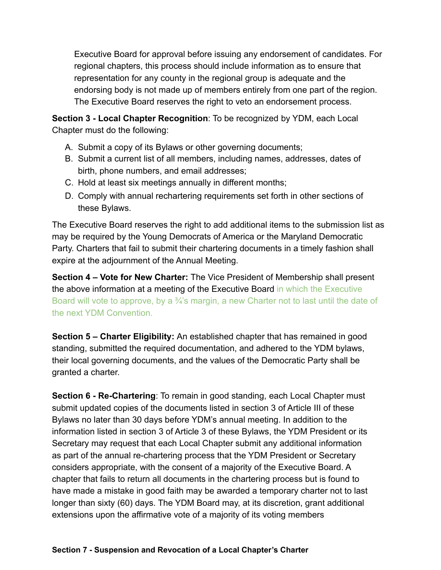Executive Board for approval before issuing any endorsement of candidates. For regional chapters, this process should include information as to ensure that representation for any county in the regional group is adequate and the endorsing body is not made up of members entirely from one part of the region. The Executive Board reserves the right to veto an endorsement process.

**Section 3 - Local Chapter Recognition**: To be recognized by YDM, each Local Chapter must do the following:

- A. Submit a copy of its Bylaws or other governing documents;
- B. Submit a current list of all members, including names, addresses, dates of birth, phone numbers, and email addresses;
- C. Hold at least six meetings annually in different months;
- D. Comply with annual rechartering requirements set forth in other sections of these Bylaws.

The Executive Board reserves the right to add additional items to the submission list as may be required by the Young Democrats of America or the Maryland Democratic Party. Charters that fail to submit their chartering documents in a timely fashion shall expire at the adjournment of the Annual Meeting.

**Section 4 – Vote for New Charter:** The Vice President of Membership shall present the above information at a meeting of the Executive Board in which the Executive Board will vote to approve, by a  $\frac{3}{4}$ 's margin, a new Charter not to last until the date of the next YDM Convention.

**Section 5 – Charter Eligibility:** An established chapter that has remained in good standing, submitted the required documentation, and adhered to the YDM bylaws, their local governing documents, and the values of the Democratic Party shall be granted a charter.

**Section 6 - Re-Chartering**: To remain in good standing, each Local Chapter must submit updated copies of the documents listed in section 3 of Article III of these Bylaws no later than 30 days before YDM's annual meeting. In addition to the information listed in section 3 of Article 3 of these Bylaws, the YDM President or its Secretary may request that each Local Chapter submit any additional information as part of the annual re-chartering process that the YDM President or Secretary considers appropriate, with the consent of a majority of the Executive Board. A chapter that fails to return all documents in the chartering process but is found to have made a mistake in good faith may be awarded a temporary charter not to last longer than sixty (60) days. The YDM Board may, at its discretion, grant additional extensions upon the affirmative vote of a majority of its voting members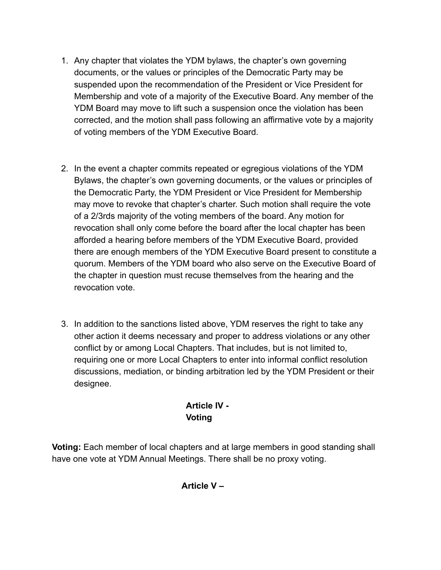- 1. Any chapter that violates the YDM bylaws, the chapter's own governing documents, or the values or principles of the Democratic Party may be suspended upon the recommendation of the President or Vice President for Membership and vote of a majority of the Executive Board. Any member of the YDM Board may move to lift such a suspension once the violation has been corrected, and the motion shall pass following an affirmative vote by a majority of voting members of the YDM Executive Board.
- 2. In the event a chapter commits repeated or egregious violations of the YDM Bylaws, the chapter's own governing documents, or the values or principles of the Democratic Party, the YDM President or Vice President for Membership may move to revoke that chapter's charter. Such motion shall require the vote of a 2/3rds majority of the voting members of the board. Any motion for revocation shall only come before the board after the local chapter has been afforded a hearing before members of the YDM Executive Board, provided there are enough members of the YDM Executive Board present to constitute a quorum. Members of the YDM board who also serve on the Executive Board of the chapter in question must recuse themselves from the hearing and the revocation vote.
- 3. In addition to the sanctions listed above, YDM reserves the right to take any other action it deems necessary and proper to address violations or any other conflict by or among Local Chapters. That includes, but is not limited to, requiring one or more Local Chapters to enter into informal conflict resolution discussions, mediation, or binding arbitration led by the YDM President or their designee.

# **Article IV - Voting**

**Voting:** Each member of local chapters and at large members in good standing shall have one vote at YDM Annual Meetings. There shall be no proxy voting.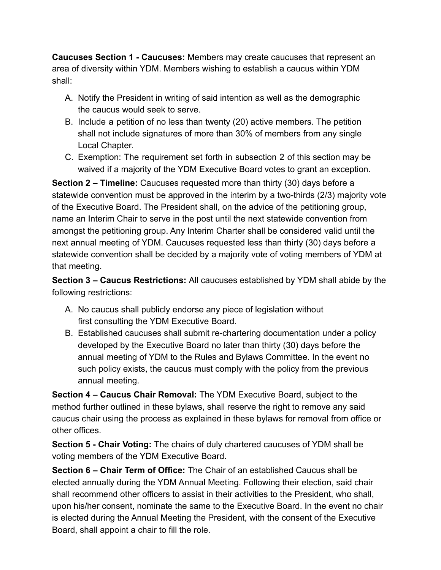**Caucuses Section 1 - Caucuses:** Members may create caucuses that represent an area of diversity within YDM. Members wishing to establish a caucus within YDM shall:

- A. Notify the President in writing of said intention as well as the demographic the caucus would seek to serve.
- B. Include a petition of no less than twenty (20) active members. The petition shall not include signatures of more than 30% of members from any single Local Chapter.
- C. Exemption: The requirement set forth in subsection 2 of this section may be waived if a majority of the YDM Executive Board votes to grant an exception.

**Section 2 – Timeline:** Caucuses requested more than thirty (30) days before a statewide convention must be approved in the interim by a two-thirds (2/3) majority vote of the Executive Board. The President shall, on the advice of the petitioning group, name an Interim Chair to serve in the post until the next statewide convention from amongst the petitioning group. Any Interim Charter shall be considered valid until the next annual meeting of YDM. Caucuses requested less than thirty (30) days before a statewide convention shall be decided by a majority vote of voting members of YDM at that meeting.

**Section 3 – Caucus Restrictions:** All caucuses established by YDM shall abide by the following restrictions:

- A. No caucus shall publicly endorse any piece of legislation without first consulting the YDM Executive Board.
- B. Established caucuses shall submit re-chartering documentation under a policy developed by the Executive Board no later than thirty (30) days before the annual meeting of YDM to the Rules and Bylaws Committee. In the event no such policy exists, the caucus must comply with the policy from the previous annual meeting.

**Section 4 – Caucus Chair Removal:** The YDM Executive Board, subject to the method further outlined in these bylaws, shall reserve the right to remove any said caucus chair using the process as explained in these bylaws for removal from office or other offices.

**Section 5 - Chair Voting:** The chairs of duly chartered caucuses of YDM shall be voting members of the YDM Executive Board.

**Section 6 – Chair Term of Office:** The Chair of an established Caucus shall be elected annually during the YDM Annual Meeting. Following their election, said chair shall recommend other officers to assist in their activities to the President, who shall, upon his/her consent, nominate the same to the Executive Board. In the event no chair is elected during the Annual Meeting the President, with the consent of the Executive Board, shall appoint a chair to fill the role.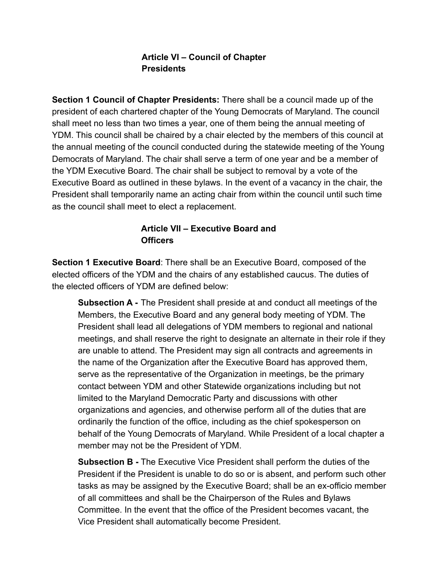#### **Article VI – Council of Chapter Presidents**

**Section 1 Council of Chapter Presidents:** There shall be a council made up of the president of each chartered chapter of the Young Democrats of Maryland. The council shall meet no less than two times a year, one of them being the annual meeting of YDM. This council shall be chaired by a chair elected by the members of this council at the annual meeting of the council conducted during the statewide meeting of the Young Democrats of Maryland. The chair shall serve a term of one year and be a member of the YDM Executive Board. The chair shall be subject to removal by a vote of the Executive Board as outlined in these bylaws. In the event of a vacancy in the chair, the President shall temporarily name an acting chair from within the council until such time as the council shall meet to elect a replacement.

#### **Article VII – Executive Board and Officers**

**Section 1 Executive Board**: There shall be an Executive Board, composed of the elected officers of the YDM and the chairs of any established caucus. The duties of the elected officers of YDM are defined below:

**Subsection A -** The President shall preside at and conduct all meetings of the Members, the Executive Board and any general body meeting of YDM. The President shall lead all delegations of YDM members to regional and national meetings, and shall reserve the right to designate an alternate in their role if they are unable to attend. The President may sign all contracts and agreements in the name of the Organization after the Executive Board has approved them, serve as the representative of the Organization in meetings, be the primary contact between YDM and other Statewide organizations including but not limited to the Maryland Democratic Party and discussions with other organizations and agencies, and otherwise perform all of the duties that are ordinarily the function of the office, including as the chief spokesperson on behalf of the Young Democrats of Maryland. While President of a local chapter a member may not be the President of YDM.

**Subsection B -** The Executive Vice President shall perform the duties of the President if the President is unable to do so or is absent, and perform such other tasks as may be assigned by the Executive Board; shall be an ex-officio member of all committees and shall be the Chairperson of the Rules and Bylaws Committee. In the event that the office of the President becomes vacant, the Vice President shall automatically become President.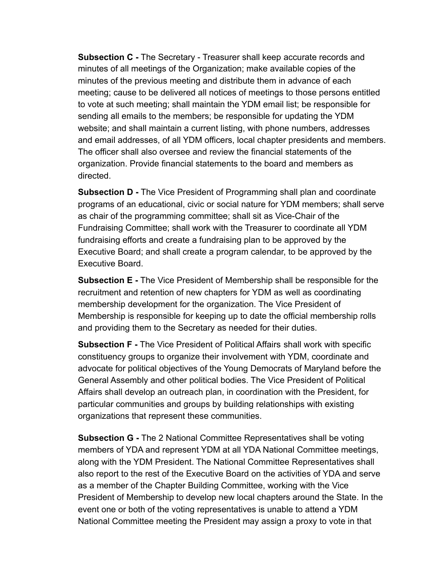**Subsection C -** The Secretary - Treasurer shall keep accurate records and minutes of all meetings of the Organization; make available copies of the minutes of the previous meeting and distribute them in advance of each meeting; cause to be delivered all notices of meetings to those persons entitled to vote at such meeting; shall maintain the YDM email list; be responsible for sending all emails to the members; be responsible for updating the YDM website; and shall maintain a current listing, with phone numbers, addresses and email addresses, of all YDM officers, local chapter presidents and members. The officer shall also oversee and review the financial statements of the organization. Provide financial statements to the board and members as directed.

**Subsection D -** The Vice President of Programming shall plan and coordinate programs of an educational, civic or social nature for YDM members; shall serve as chair of the programming committee; shall sit as Vice-Chair of the Fundraising Committee; shall work with the Treasurer to coordinate all YDM fundraising efforts and create a fundraising plan to be approved by the Executive Board; and shall create a program calendar, to be approved by the Executive Board.

**Subsection E -** The Vice President of Membership shall be responsible for the recruitment and retention of new chapters for YDM as well as coordinating membership development for the organization. The Vice President of Membership is responsible for keeping up to date the official membership rolls and providing them to the Secretary as needed for their duties.

**Subsection F -** The Vice President of Political Affairs shall work with specific constituency groups to organize their involvement with YDM, coordinate and advocate for political objectives of the Young Democrats of Maryland before the General Assembly and other political bodies. The Vice President of Political Affairs shall develop an outreach plan, in coordination with the President, for particular communities and groups by building relationships with existing organizations that represent these communities.

**Subsection G -** The 2 National Committee Representatives shall be voting members of YDA and represent YDM at all YDA National Committee meetings, along with the YDM President. The National Committee Representatives shall also report to the rest of the Executive Board on the activities of YDA and serve as a member of the Chapter Building Committee, working with the Vice President of Membership to develop new local chapters around the State. In the event one or both of the voting representatives is unable to attend a YDM National Committee meeting the President may assign a proxy to vote in that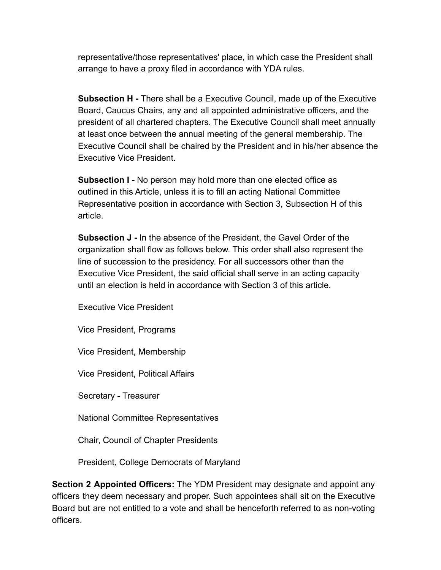representative/those representatives' place, in which case the President shall arrange to have a proxy filed in accordance with YDA rules.

**Subsection H -** There shall be a Executive Council, made up of the Executive Board, Caucus Chairs, any and all appointed administrative officers, and the president of all chartered chapters. The Executive Council shall meet annually at least once between the annual meeting of the general membership. The Executive Council shall be chaired by the President and in his/her absence the Executive Vice President.

**Subsection I -** No person may hold more than one elected office as outlined in this Article, unless it is to fill an acting National Committee Representative position in accordance with Section 3, Subsection H of this article.

**Subsection J -** In the absence of the President, the Gavel Order of the organization shall flow as follows below. This order shall also represent the line of succession to the presidency. For all successors other than the Executive Vice President, the said official shall serve in an acting capacity until an election is held in accordance with Section 3 of this article.

Executive Vice President

Vice President, Programs

Vice President, Membership

Vice President, Political Affairs

Secretary - Treasurer

National Committee Representatives

Chair, Council of Chapter Presidents

President, College Democrats of Maryland

**Section 2 Appointed Officers:** The YDM President may designate and appoint any officers they deem necessary and proper. Such appointees shall sit on the Executive Board but are not entitled to a vote and shall be henceforth referred to as non-voting officers.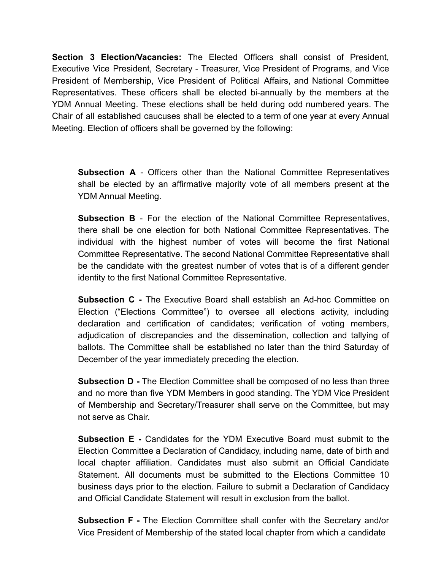**Section 3 Election/Vacancies:** The Elected Officers shall consist of President, Executive Vice President, Secretary - Treasurer, Vice President of Programs, and Vice President of Membership, Vice President of Political Affairs, and National Committee Representatives. These officers shall be elected bi-annually by the members at the YDM Annual Meeting. These elections shall be held during odd numbered years. The Chair of all established caucuses shall be elected to a term of one year at every Annual Meeting. Election of officers shall be governed by the following:

**Subsection A** - Officers other than the National Committee Representatives shall be elected by an affirmative majority vote of all members present at the YDM Annual Meeting.

**Subsection B** - For the election of the National Committee Representatives, there shall be one election for both National Committee Representatives. The individual with the highest number of votes will become the first National Committee Representative. The second National Committee Representative shall be the candidate with the greatest number of votes that is of a different gender identity to the first National Committee Representative.

**Subsection C -** The Executive Board shall establish an Ad-hoc Committee on Election ("Elections Committee") to oversee all elections activity, including declaration and certification of candidates; verification of voting members, adjudication of discrepancies and the dissemination, collection and tallying of ballots. The Committee shall be established no later than the third Saturday of December of the year immediately preceding the election.

**Subsection D -** The Election Committee shall be composed of no less than three and no more than five YDM Members in good standing. The YDM Vice President of Membership and Secretary/Treasurer shall serve on the Committee, but may not serve as Chair.

**Subsection E -** Candidates for the YDM Executive Board must submit to the Election Committee a Declaration of Candidacy, including name, date of birth and local chapter affiliation. Candidates must also submit an Official Candidate Statement. All documents must be submitted to the Elections Committee 10 business days prior to the election. Failure to submit a Declaration of Candidacy and Official Candidate Statement will result in exclusion from the ballot.

**Subsection F -** The Election Committee shall confer with the Secretary and/or Vice President of Membership of the stated local chapter from which a candidate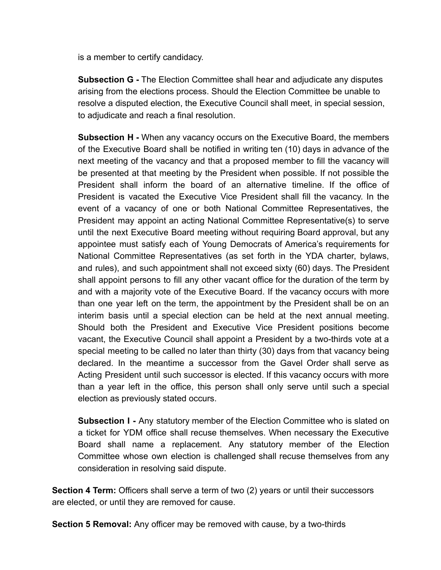is a member to certify candidacy.

**Subsection G -** The Election Committee shall hear and adjudicate any disputes arising from the elections process. Should the Election Committee be unable to resolve a disputed election, the Executive Council shall meet, in special session, to adjudicate and reach a final resolution.

**Subsection H -** When any vacancy occurs on the Executive Board, the members of the Executive Board shall be notified in writing ten (10) days in advance of the next meeting of the vacancy and that a proposed member to fill the vacancy will be presented at that meeting by the President when possible. If not possible the President shall inform the board of an alternative timeline. If the office of President is vacated the Executive Vice President shall fill the vacancy. In the event of a vacancy of one or both National Committee Representatives, the President may appoint an acting National Committee Representative(s) to serve until the next Executive Board meeting without requiring Board approval, but any appointee must satisfy each of Young Democrats of America's requirements for National Committee Representatives (as set forth in the YDA charter, bylaws, and rules), and such appointment shall not exceed sixty (60) days. The President shall appoint persons to fill any other vacant office for the duration of the term by and with a majority vote of the Executive Board. If the vacancy occurs with more than one year left on the term, the appointment by the President shall be on an interim basis until a special election can be held at the next annual meeting. Should both the President and Executive Vice President positions become vacant, the Executive Council shall appoint a President by a two-thirds vote at a special meeting to be called no later than thirty (30) days from that vacancy being declared. In the meantime a successor from the Gavel Order shall serve as Acting President until such successor is elected. If this vacancy occurs with more than a year left in the office, this person shall only serve until such a special election as previously stated occurs.

**Subsection I -** Any statutory member of the Election Committee who is slated on a ticket for YDM office shall recuse themselves. When necessary the Executive Board shall name a replacement. Any statutory member of the Election Committee whose own election is challenged shall recuse themselves from any consideration in resolving said dispute.

**Section 4 Term:** Officers shall serve a term of two (2) years or until their successors are elected, or until they are removed for cause.

**Section 5 Removal:** Any officer may be removed with cause, by a two-thirds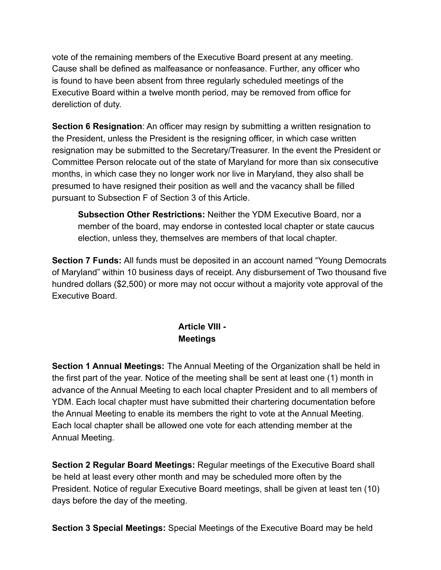vote of the remaining members of the Executive Board present at any meeting. Cause shall be defined as malfeasance or nonfeasance. Further, any officer who is found to have been absent from three regularly scheduled meetings of the Executive Board within a twelve month period, may be removed from office for dereliction of duty.

**Section 6 Resignation:** An officer may resign by submitting a written resignation to the President, unless the President is the resigning officer, in which case written resignation may be submitted to the Secretary/Treasurer. In the event the President or Committee Person relocate out of the state of Maryland for more than six consecutive months, in which case they no longer work nor live in Maryland, they also shall be presumed to have resigned their position as well and the vacancy shall be filled pursuant to Subsection F of Section 3 of this Article.

**Subsection Other Restrictions:** Neither the YDM Executive Board, nor a member of the board, may endorse in contested local chapter or state caucus election, unless they, themselves are members of that local chapter.

**Section 7 Funds:** All funds must be deposited in an account named "Young Democrats of Maryland" within 10 business days of receipt. Any disbursement of Two thousand five hundred dollars (\$2,500) or more may not occur without a majority vote approval of the Executive Board.

> **Article VIII - Meetings**

**Section 1 Annual Meetings:** The Annual Meeting of the Organization shall be held in the first part of the year. Notice of the meeting shall be sent at least one (1) month in advance of the Annual Meeting to each local chapter President and to all members of YDM. Each local chapter must have submitted their chartering documentation before the Annual Meeting to enable its members the right to vote at the Annual Meeting. Each local chapter shall be allowed one vote for each attending member at the Annual Meeting.

**Section 2 Regular Board Meetings:** Regular meetings of the Executive Board shall be held at least every other month and may be scheduled more often by the President. Notice of regular Executive Board meetings, shall be given at least ten (10) days before the day of the meeting.

**Section 3 Special Meetings:** Special Meetings of the Executive Board may be held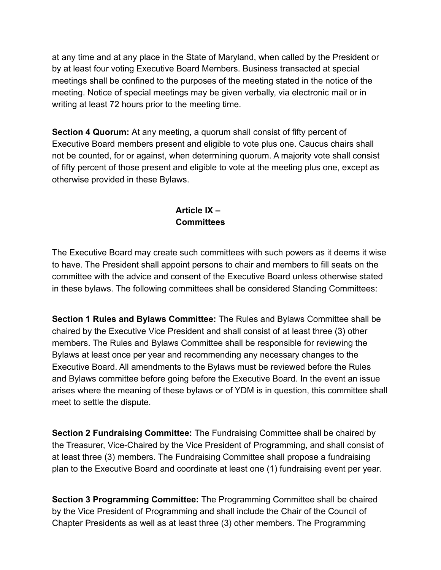at any time and at any place in the State of Maryland, when called by the President or by at least four voting Executive Board Members. Business transacted at special meetings shall be confined to the purposes of the meeting stated in the notice of the meeting. Notice of special meetings may be given verbally, via electronic mail or in writing at least 72 hours prior to the meeting time.

**Section 4 Quorum:** At any meeting, a quorum shall consist of fifty percent of Executive Board members present and eligible to vote plus one. Caucus chairs shall not be counted, for or against, when determining quorum. A majority vote shall consist of fifty percent of those present and eligible to vote at the meeting plus one, except as otherwise provided in these Bylaws.

#### **Article IX – Committees**

The Executive Board may create such committees with such powers as it deems it wise to have. The President shall appoint persons to chair and members to fill seats on the committee with the advice and consent of the Executive Board unless otherwise stated in these bylaws. The following committees shall be considered Standing Committees:

**Section 1 Rules and Bylaws Committee:** The Rules and Bylaws Committee shall be chaired by the Executive Vice President and shall consist of at least three (3) other members. The Rules and Bylaws Committee shall be responsible for reviewing the Bylaws at least once per year and recommending any necessary changes to the Executive Board. All amendments to the Bylaws must be reviewed before the Rules and Bylaws committee before going before the Executive Board. In the event an issue arises where the meaning of these bylaws or of YDM is in question, this committee shall meet to settle the dispute.

**Section 2 Fundraising Committee:** The Fundraising Committee shall be chaired by the Treasurer, Vice-Chaired by the Vice President of Programming, and shall consist of at least three (3) members. The Fundraising Committee shall propose a fundraising plan to the Executive Board and coordinate at least one (1) fundraising event per year.

**Section 3 Programming Committee:** The Programming Committee shall be chaired by the Vice President of Programming and shall include the Chair of the Council of Chapter Presidents as well as at least three (3) other members. The Programming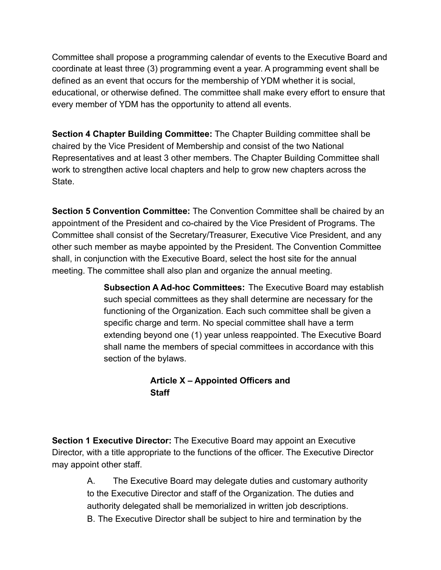Committee shall propose a programming calendar of events to the Executive Board and coordinate at least three (3) programming event a year. A programming event shall be defined as an event that occurs for the membership of YDM whether it is social, educational, or otherwise defined. The committee shall make every effort to ensure that every member of YDM has the opportunity to attend all events.

**Section 4 Chapter Building Committee:** The Chapter Building committee shall be chaired by the Vice President of Membership and consist of the two National Representatives and at least 3 other members. The Chapter Building Committee shall work to strengthen active local chapters and help to grow new chapters across the State.

**Section 5 Convention Committee:** The Convention Committee shall be chaired by an appointment of the President and co-chaired by the Vice President of Programs. The Committee shall consist of the Secretary/Treasurer, Executive Vice President, and any other such member as maybe appointed by the President. The Convention Committee shall, in conjunction with the Executive Board, select the host site for the annual meeting. The committee shall also plan and organize the annual meeting.

> **Subsection A Ad-hoc Committees:** The Executive Board may establish such special committees as they shall determine are necessary for the functioning of the Organization. Each such committee shall be given a specific charge and term. No special committee shall have a term extending beyond one (1) year unless reappointed. The Executive Board shall name the members of special committees in accordance with this section of the bylaws.

#### **Article X – Appointed Officers and Staff**

**Section 1 Executive Director:** The Executive Board may appoint an Executive Director, with a title appropriate to the functions of the officer. The Executive Director may appoint other staff.

> A. The Executive Board may delegate duties and customary authority to the Executive Director and staff of the Organization. The duties and authority delegated shall be memorialized in written job descriptions. B. The Executive Director shall be subject to hire and termination by the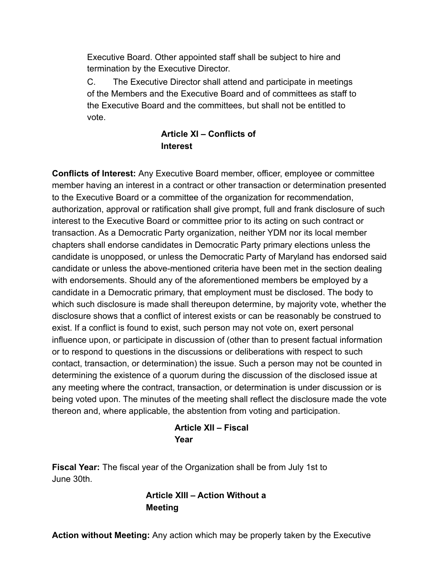Executive Board. Other appointed staff shall be subject to hire and termination by the Executive Director.

C. The Executive Director shall attend and participate in meetings of the Members and the Executive Board and of committees as staff to the Executive Board and the committees, but shall not be entitled to vote.

#### **Article XI – Conflicts of Interest**

**Conflicts of Interest:** Any Executive Board member, officer, employee or committee member having an interest in a contract or other transaction or determination presented to the Executive Board or a committee of the organization for recommendation, authorization, approval or ratification shall give prompt, full and frank disclosure of such interest to the Executive Board or committee prior to its acting on such contract or transaction. As a Democratic Party organization, neither YDM nor its local member chapters shall endorse candidates in Democratic Party primary elections unless the candidate is unopposed, or unless the Democratic Party of Maryland has endorsed said candidate or unless the above-mentioned criteria have been met in the section dealing with endorsements. Should any of the aforementioned members be employed by a candidate in a Democratic primary, that employment must be disclosed. The body to which such disclosure is made shall thereupon determine, by majority vote, whether the disclosure shows that a conflict of interest exists or can be reasonably be construed to exist. If a conflict is found to exist, such person may not vote on, exert personal influence upon, or participate in discussion of (other than to present factual information or to respond to questions in the discussions or deliberations with respect to such contact, transaction, or determination) the issue. Such a person may not be counted in determining the existence of a quorum during the discussion of the disclosed issue at any meeting where the contract, transaction, or determination is under discussion or is being voted upon. The minutes of the meeting shall reflect the disclosure made the vote thereon and, where applicable, the abstention from voting and participation.

#### **Article XII – Fiscal Year**

**Fiscal Year:** The fiscal year of the Organization shall be from July 1st to June 30th.

#### **Article XIII – Action Without a Meeting**

**Action without Meeting:** Any action which may be properly taken by the Executive